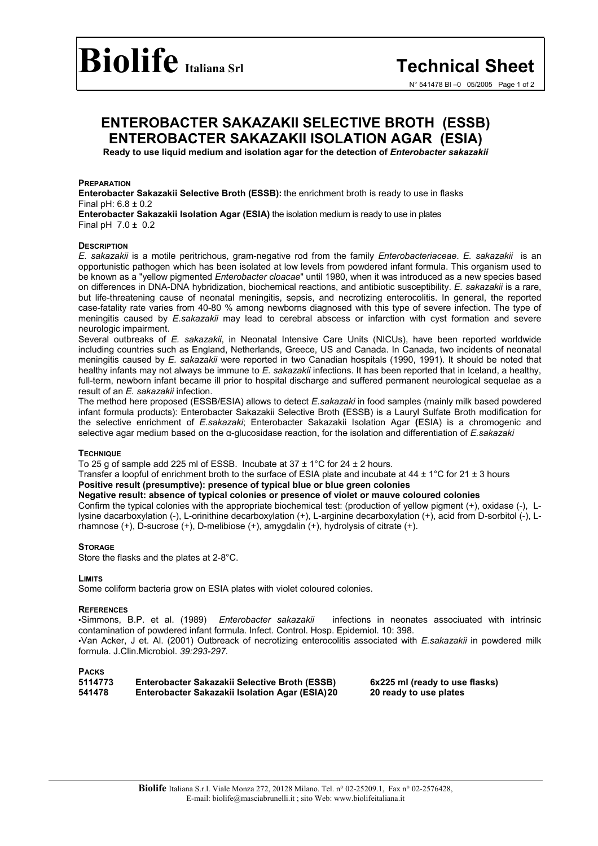## **ENTEROBACTER SAKAZAKII SELECTIVE BROTH (ESSB) ENTEROBACTER SAKAZAKII ISOLATION AGAR (ESIA)**

**Ready to use liquid medium and isolation agar for the detection of** *Enterobacter sakazakii*

#### **PREPARATION**

**Enterobacter Sakazakii Selective Broth (ESSB):** the enrichment broth is ready to use in flasks Final pH: 6.8 ± 0.2 **Enterobacter Sakazakii Isolation Agar (ESIA)** the isolation medium is ready to use in plates

Final pH  $7.0 \pm 0.2$ 

#### **DESCRIPTION**

*E. sakazakii* is a motile peritrichous, gram-negative rod from the family *Enterobacteriaceae*. *E. sakazakii* is an opportunistic pathogen which has been isolated at low levels from powdered infant formula. This organism used to be known as a "yellow pigmented *Enterobacter cloacae*" until 1980, when it was introduced as a new species based on differences in DNA-DNA hybridization, biochemical reactions, and antibiotic susceptibility. *E. sakazakii* is a rare, but life-threatening cause of neonatal meningitis, sepsis, and necrotizing enterocolitis. In general, the reported case-fatality rate varies from 40-80 % among newborns diagnosed with this type of severe infection. The type of meningitis caused by *E.sakazakii* may lead to cerebral abscess or infarction with cyst formation and severe neurologic impairment.

Several outbreaks of *E. sakazakii*, in Neonatal Intensive Care Units (NICUs), have been reported worldwide including countries such as England, Netherlands, Greece, US and Canada. In Canada, two incidents of neonatal meningitis caused by *E. sakazakii* were reported in two Canadian hospitals (1990, 1991). It should be noted that healthy infants may not always be immune to *E. sakazakii* infections. It has been reported that in Iceland, a healthy, full-term, newborn infant became ill prior to hospital discharge and suffered permanent neurological sequelae as a result of an *E. sakazakii* infection.

The method here proposed (ESSB/ESIA) allows to detect *E.sakazaki* in food samples (mainly milk based powdered infant formula products): Enterobacter Sakazakii Selective Broth **(**ESSB) is a Lauryl Sulfate Broth modification for the selective enrichment of *E.sakazaki*; Enterobacter Sakazakii Isolation Agar **(**ESIA) is a chromogenic and selective agar medium based on the α-glucosidase reaction, for the isolation and differentiation of *E.sakazaki*

#### **TECHNIQUE**

To 25 g of sample add 225 ml of ESSB. Incubate at  $37 \pm 1^{\circ}$ C for 24  $\pm$  2 hours.

Transfer a loopful of enrichment broth to the surface of ESIA plate and incubate at 44  $\pm$  1°C for 21  $\pm$  3 hours

## **Positive result (presumptive): presence of typical blue or blue green colonies**

### **Negative result: absence of typical colonies or presence of violet or mauve coloured colonies**

Confirm the typical colonies with the appropriate biochemical test: (production of yellow pigment (+), oxidase (-), Llysine dacarboxylation (-), L-orinithine decarboxylation (+), L-arginine decarboxylation (+), acid from D-sorbitol (-), Lrhamnose (+), D-sucrose (+), D-melibiose (+), amygdalin (+), hydrolysis of citrate (+).

#### **STORAGE**

Store the flasks and the plates at 2-8°C.

#### **LIMITS**

Some coliform bacteria grow on ESIA plates with violet coloured colonies.

#### **REFERENCES**

•Simmons, B.P. et al. (1989) *Enterobacter sakazakii*infections in neonates associuated with intrinsic contamination of powdered infant formula. Infect. Control. Hosp. Epidemiol. 10: 398.

•Van Acker, J et. Al. (2001) Outbreack of necrotizing enterocolitis associated with *E.sakazakii* in powdered milk formula. J.Clin.Microbiol. *39:293-297.*

**PACKS**

| 5114773 | Enterobacter Sakazakii Selective Broth (ESSB)         |
|---------|-------------------------------------------------------|
| 541478  | <b>Enterobacter Sakazakii Isolation Agar (ESIA)20</b> |

**6x225 ml (ready to use flasks) 20 ready to use plates**